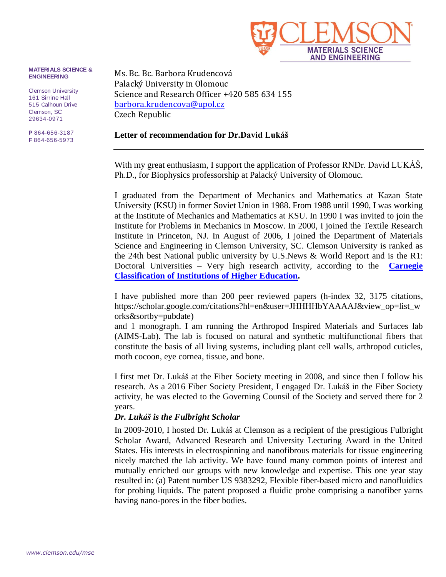

#### **MATERIALS SCIENCE & ENGINEERING**

Clemson University 161 Sirrine Hall 515 Calhoun Drive Clemson, SC 29634-0971

**P** 864-656-3187 **F** 864-656-5973 Ms. Bc. Bc. Barbora Krudencová Palacký University in Olomouc Science and Research Officer +420 585 634 155 [barbora.krudencova@upol.cz](mailto:barbora.krudencova@upol.cz) Czech Republic

#### **Letter of recommendation for Dr.David Lukáš**

With my great enthusiasm, I support the application of Professor RNDr. David LUKÁŠ, Ph.D., for Biophysics professorship at Palacký University of Olomouc.

I graduated from the Department of Mechanics and Mathematics at Kazan State University (KSU) in former Soviet Union in 1988. From 1988 until 1990, I was working at the Institute of Mechanics and Mathematics at KSU. In 1990 I was invited to join the Institute for Problems in Mechanics in Moscow. In 2000, I joined the Textile Research Institute in Princeton, NJ. In August of 2006, I joined the Department of Materials Science and Engineering in Clemson University, SC. Clemson University is ranked as the 24th best National public university by U.S.News & World Report and is the R1: Doctoral Universities – Very high research activity, according to the **[Carnegie](https://en.wikipedia.org/wiki/Carnegie_Classification_of_Institutions_of_Higher_Education)  [Classification of Institutions of Higher Education.](https://en.wikipedia.org/wiki/Carnegie_Classification_of_Institutions_of_Higher_Education)**

I have published more than 200 peer reviewed papers (h-index 32, 3175 citations, https://scholar.google.com/citations?hl=en&user=JHHHHbYAAAAJ&view\_op=list\_w orks&sortby=pubdate)

and 1 monograph. I am running the Arthropod Inspired Materials and Surfaces lab (AIMS-Lab). The lab is focused on natural and synthetic multifunctional fibers that constitute the basis of all living systems, including plant cell walls, arthropod cuticles, moth cocoon, eye cornea, tissue, and bone.

I first met Dr. Lukáš at the Fiber Society meeting in 2008, and since then I follow his research. As a 2016 Fiber Society President, I engaged Dr. Lukáš in the Fiber Society activity, he was elected to the Governing Counsil of the Society and served there for 2 years.

#### *Dr. Lukáš is the Fulbright Scholar*

In 2009-2010, I hosted Dr. Lukáš at Clemson as a recipient of the prestigious Fulbright Scholar Award, Advanced Research and University Lecturing Award in the United States. His interests in electrospinning and nanofibrous materials for tissue engineering nicely matched the lab activity. We have found many common points of interest and mutually enriched our groups with new knowledge and expertise. This one year stay resulted in: (a) Patent number US 9383292, Flexible fiber-based micro and nanofluidics for probing liquids. The patent proposed a fluidic probe comprising a nanofiber yarns having nano-pores in the fiber bodies.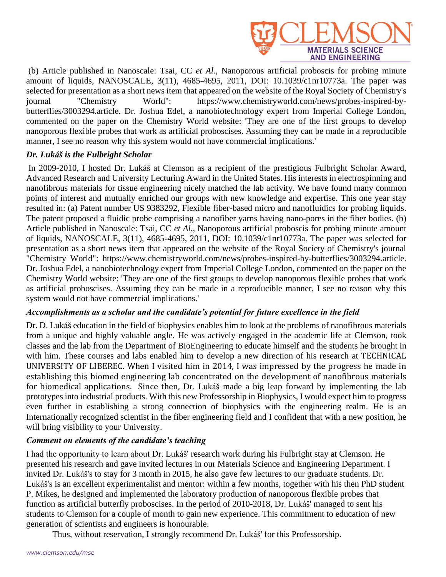

(b) Article published in Nanoscale: Tsai, CC *et Al.,* Nanoporous artificial proboscis for probing minute amount of liquids, NANOSCALE, 3(11), 4685-4695, 2011, DOI: 10.1039/c1nr10773a. The paper was selected for presentation as a short news item that appeared on the website of the Royal Society of Chemistry's journal "Chemistry World": https://www.chemistryworld.com/news/probes-inspired-bybutterflies/3003294.article. Dr. Joshua Edel, a nanobiotechnology expert from Imperial College London, commented on the paper on the Chemistry World website: 'They are one of the first groups to develop nanoporous flexible probes that work as artificial proboscises. Assuming they can be made in a reproducible manner, I see no reason why this system would not have commercial implications.'

# *Dr. Lukáš is the Fulbright Scholar*

In 2009-2010, I hosted Dr. Lukáš at Clemson as a recipient of the prestigious Fulbright Scholar Award, Advanced Research and University Lecturing Award in the United States. His interests in electrospinning and nanofibrous materials for tissue engineering nicely matched the lab activity. We have found many common points of interest and mutually enriched our groups with new knowledge and expertise. This one year stay resulted in: (a) Patent number US 9383292, Flexible fiber-based micro and nanofluidics for probing liquids. The patent proposed a fluidic probe comprising a nanofiber yarns having nano-pores in the fiber bodies. (b) Article published in Nanoscale: Tsai, CC *et Al.,* Nanoporous artificial proboscis for probing minute amount of liquids, NANOSCALE, 3(11), 4685-4695, 2011, DOI: 10.1039/c1nr10773a. The paper was selected for presentation as a short news item that appeared on the website of the Royal Society of Chemistry's journal "Chemistry World": https://www.chemistryworld.com/news/probes-inspired-by-butterflies/3003294.article. Dr. Joshua Edel, a nanobiotechnology expert from Imperial College London, commented on the paper on the Chemistry World website: 'They are one of the first groups to develop nanoporous flexible probes that work as artificial proboscises. Assuming they can be made in a reproducible manner, I see no reason why this system would not have commercial implications.'

# *Accomplishments as a scholar and the candidate's potential for future excellence in the field*

Dr. D. Lukáš education in the field of biophysics enables him to look at the problems of nanofibrous materials from a unique and highly valuable angle. He was actively engaged in the academic life at Clemson, took classes and the lab from the Department of BioEngineering to educate himself and the students he brought in with him. These courses and labs enabled him to develop a new direction of his research at TECHNICAL UNIVERSITY OF LIBEREC. When I visited him in 2014, I was impressed by the progress he made in establishing this biomed engineering lab concentrated on the development of nanofibrous materials for biomedical applications. Since then, Dr. Lukáš made a big leap forward by implementing the lab prototypes into industrial products. With this new Professorship in Biophysics, I would expect him to progress even further in establishing a strong connection of biophysics with the engineering realm. He is an Internationally recognized scientist in the fiber engineering field and I confident that with a new position, he will bring visibility to your University.

# *Comment on elements of the candidate's teaching*

I had the opportunity to learn about Dr. Lukáš' research work during his Fulbright stay at Clemson. He presented his research and gave invited lectures in our Materials Science and Engineering Department. I invited Dr. Lukáš's to stay for 3 month in 2015, he also gave few lectures to our graduate students. Dr. Lukáš's is an excellent experimentalist and mentor: within a few months, together with his then PhD student P. Mikes, he designed and implemented the laboratory production of nanoporous flexible probes that function as artificial butterfly proboscises. In the period of 2010-2018, Dr. Lukáš' managed to sent his students to Clemson for a couple of month to gain new experience. This commitment to education of new generation of scientists and engineers is honourable.

Thus, without reservation, I strongly recommend Dr. Lukáš' for this Professorship.